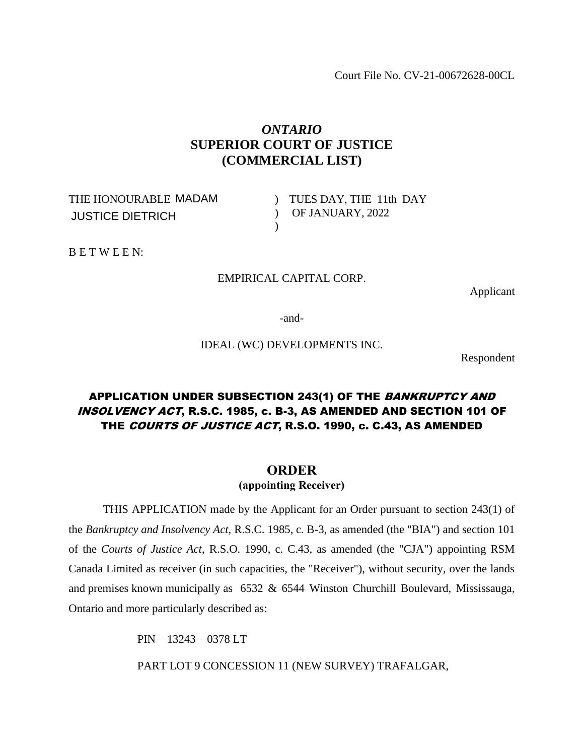Court File No. CV-21-00672628-00CL

# *ONTARIO* **SUPERIOR COURT OF JUSTICE (COMMERCIAL LIST)**

THE HONOURABLE MADAM JUSTICE DIETRICH

) TUES DAY, THE 11th DAY ) OF JANUARY, 2022

B E T W E E N:

# EMPIRICAL CAPITAL CORP.

 $\lambda$ 

Applicant

-and-

IDEAL (WC) DEVELOPMENTS INC.

Respondent

# APPLICATION UNDER SUBSECTION 243(1) OF THE BANKRUPTCY AND INSOLVENCY ACT, R.S.C. 1985, c. B-3, AS AMENDED AND SECTION 101 OF THE COURTS OF JUSTICE ACT, R.S.O. 1990, c. C.43, AS AMENDED

# **ORDER**

**(appointing Receiver)**

THIS APPLICATION made by the Applicant for an Order pursuant to section 243(1) of the *Bankruptcy and Insolvency Act*, R.S.C. 1985, c. B-3, as amended (the "BIA") and section 101 of the *Courts of Justice Act*, R.S.O. 1990, c. C.43, as amended (the "CJA") appointing RSM Canada Limited as receiver (in such capacities, the "Receiver"), without security, over the lands and premises known municipally as 6532 & 6544 Winston Churchill Boulevard, Mississauga, Ontario and more particularly described as:

PIN – 13243 – 0378 LT

PART LOT 9 CONCESSION 11 (NEW SURVEY) TRAFALGAR,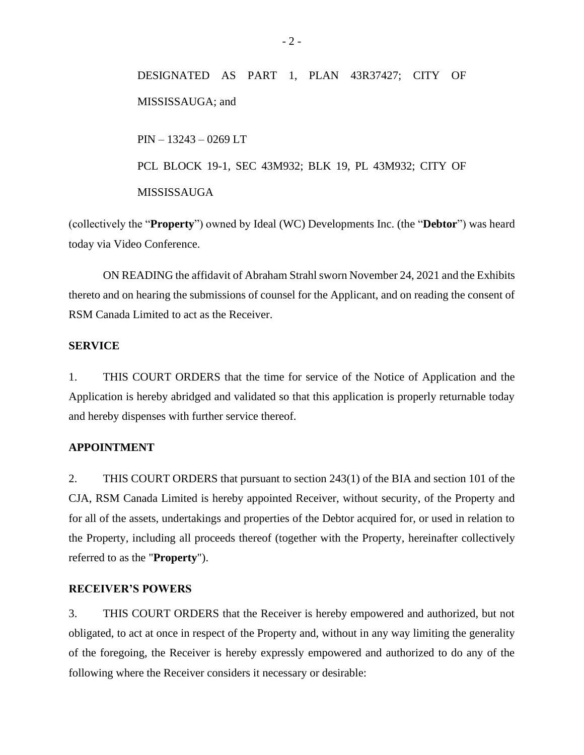DESIGNATED AS PART 1, PLAN 43R37427; CITY OF MISSISSAUGA; and PIN – 13243 – 0269 LT PCL BLOCK 19-1, SEC 43M932; BLK 19, PL 43M932; CITY OF MISSISSAUGA

(collectively the "**Property**") owned by Ideal (WC) Developments Inc. (the "**Debtor**") was heard today via Video Conference.

ON READING the affidavit of Abraham Strahl sworn November 24, 2021 and the Exhibits thereto and on hearing the submissions of counsel for the Applicant, and on reading the consent of RSM Canada Limited to act as the Receiver.

# **SERVICE**

1. THIS COURT ORDERS that the time for service of the Notice of Application and the Application is hereby abridged and validated so that this application is properly returnable today and hereby dispenses with further service thereof.

### **APPOINTMENT**

2. THIS COURT ORDERS that pursuant to section 243(1) of the BIA and section 101 of the CJA, RSM Canada Limited is hereby appointed Receiver, without security, of the Property and for all of the assets, undertakings and properties of the Debtor acquired for, or used in relation to the Property, including all proceeds thereof (together with the Property, hereinafter collectively referred to as the "**Property**").

# **RECEIVER'S POWERS**

3. THIS COURT ORDERS that the Receiver is hereby empowered and authorized, but not obligated, to act at once in respect of the Property and, without in any way limiting the generality of the foregoing, the Receiver is hereby expressly empowered and authorized to do any of the following where the Receiver considers it necessary or desirable: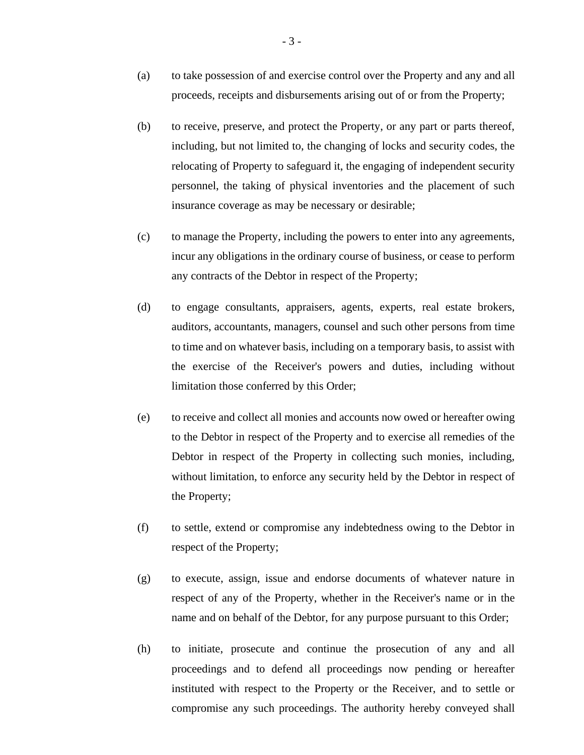- (a) to take possession of and exercise control over the Property and any and all proceeds, receipts and disbursements arising out of or from the Property;
- (b) to receive, preserve, and protect the Property, or any part or parts thereof, including, but not limited to, the changing of locks and security codes, the relocating of Property to safeguard it, the engaging of independent security personnel, the taking of physical inventories and the placement of such insurance coverage as may be necessary or desirable;
- (c) to manage the Property, including the powers to enter into any agreements, incur any obligations in the ordinary course of business, or cease to perform any contracts of the Debtor in respect of the Property;
- (d) to engage consultants, appraisers, agents, experts, real estate brokers, auditors, accountants, managers, counsel and such other persons from time to time and on whatever basis, including on a temporary basis, to assist with the exercise of the Receiver's powers and duties, including without limitation those conferred by this Order;
- (e) to receive and collect all monies and accounts now owed or hereafter owing to the Debtor in respect of the Property and to exercise all remedies of the Debtor in respect of the Property in collecting such monies, including, without limitation, to enforce any security held by the Debtor in respect of the Property;
- (f) to settle, extend or compromise any indebtedness owing to the Debtor in respect of the Property;
- (g) to execute, assign, issue and endorse documents of whatever nature in respect of any of the Property, whether in the Receiver's name or in the name and on behalf of the Debtor, for any purpose pursuant to this Order;
- (h) to initiate, prosecute and continue the prosecution of any and all proceedings and to defend all proceedings now pending or hereafter instituted with respect to the Property or the Receiver, and to settle or compromise any such proceedings. The authority hereby conveyed shall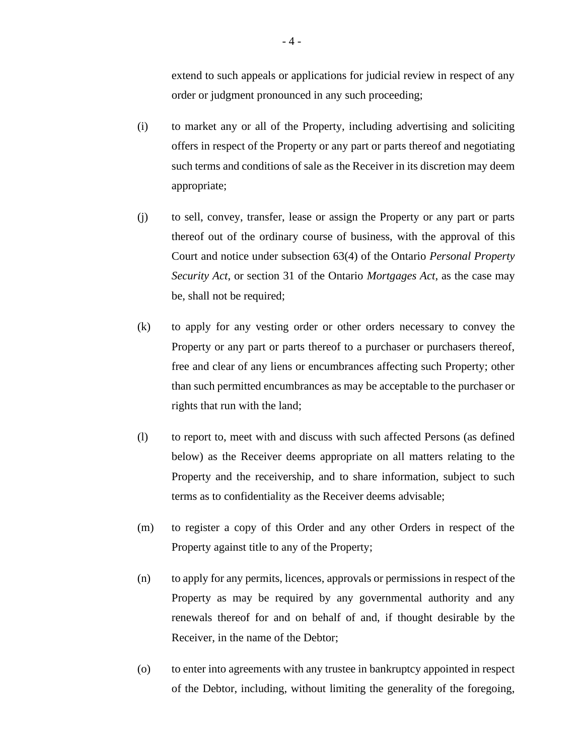extend to such appeals or applications for judicial review in respect of any order or judgment pronounced in any such proceeding;

- (i) to market any or all of the Property, including advertising and soliciting offers in respect of the Property or any part or parts thereof and negotiating such terms and conditions of sale as the Receiver in its discretion may deem appropriate;
- (j) to sell, convey, transfer, lease or assign the Property or any part or parts thereof out of the ordinary course of business, with the approval of this Court and notice under subsection 63(4) of the Ontario *Personal Property Security Act*, or section 31 of the Ontario *Mortgages Act*, as the case may be, shall not be required;
- (k) to apply for any vesting order or other orders necessary to convey the Property or any part or parts thereof to a purchaser or purchasers thereof, free and clear of any liens or encumbrances affecting such Property; other than such permitted encumbrances as may be acceptable to the purchaser or rights that run with the land;
- (l) to report to, meet with and discuss with such affected Persons (as defined below) as the Receiver deems appropriate on all matters relating to the Property and the receivership, and to share information, subject to such terms as to confidentiality as the Receiver deems advisable;
- (m) to register a copy of this Order and any other Orders in respect of the Property against title to any of the Property;
- (n) to apply for any permits, licences, approvals or permissions in respect of the Property as may be required by any governmental authority and any renewals thereof for and on behalf of and, if thought desirable by the Receiver, in the name of the Debtor;
- (o) to enter into agreements with any trustee in bankruptcy appointed in respect of the Debtor, including, without limiting the generality of the foregoing,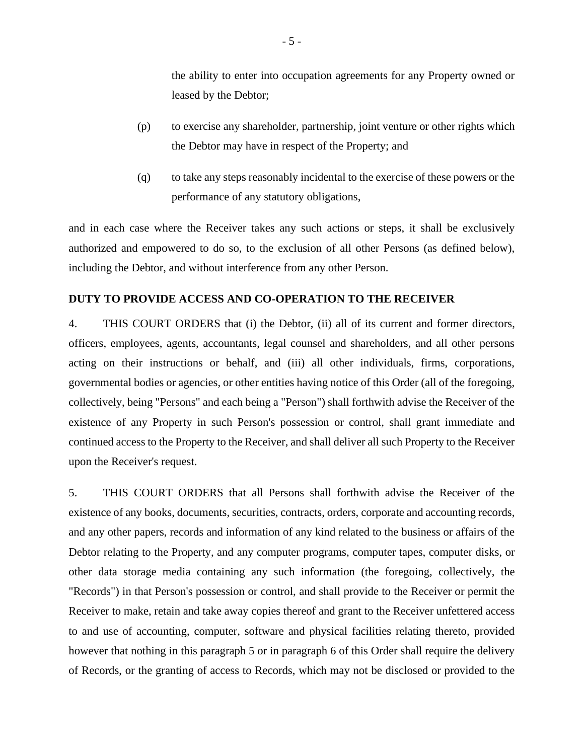the ability to enter into occupation agreements for any Property owned or leased by the Debtor;

- (p) to exercise any shareholder, partnership, joint venture or other rights which the Debtor may have in respect of the Property; and
- (q) to take any steps reasonably incidental to the exercise of these powers or the performance of any statutory obligations,

and in each case where the Receiver takes any such actions or steps, it shall be exclusively authorized and empowered to do so, to the exclusion of all other Persons (as defined below), including the Debtor, and without interference from any other Person.

### **DUTY TO PROVIDE ACCESS AND CO-OPERATION TO THE RECEIVER**

4. THIS COURT ORDERS that (i) the Debtor, (ii) all of its current and former directors, officers, employees, agents, accountants, legal counsel and shareholders, and all other persons acting on their instructions or behalf, and (iii) all other individuals, firms, corporations, governmental bodies or agencies, or other entities having notice of this Order (all of the foregoing, collectively, being "Persons" and each being a "Person") shall forthwith advise the Receiver of the existence of any Property in such Person's possession or control, shall grant immediate and continued access to the Property to the Receiver, and shall deliver all such Property to the Receiver upon the Receiver's request.

5. THIS COURT ORDERS that all Persons shall forthwith advise the Receiver of the existence of any books, documents, securities, contracts, orders, corporate and accounting records, and any other papers, records and information of any kind related to the business or affairs of the Debtor relating to the Property, and any computer programs, computer tapes, computer disks, or other data storage media containing any such information (the foregoing, collectively, the "Records") in that Person's possession or control, and shall provide to the Receiver or permit the Receiver to make, retain and take away copies thereof and grant to the Receiver unfettered access to and use of accounting, computer, software and physical facilities relating thereto, provided however that nothing in this paragraph 5 or in paragraph 6 of this Order shall require the delivery of Records, or the granting of access to Records, which may not be disclosed or provided to the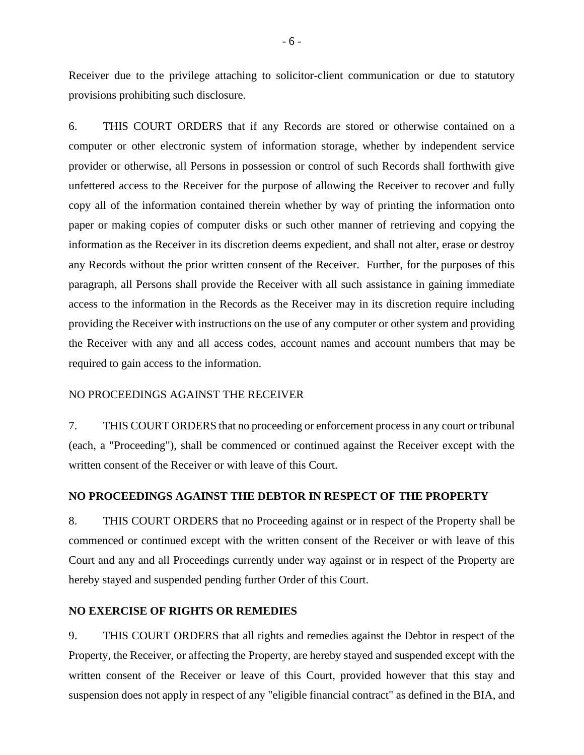Receiver due to the privilege attaching to solicitor-client communication or due to statutory provisions prohibiting such disclosure.

6. THIS COURT ORDERS that if any Records are stored or otherwise contained on a computer or other electronic system of information storage, whether by independent service provider or otherwise, all Persons in possession or control of such Records shall forthwith give unfettered access to the Receiver for the purpose of allowing the Receiver to recover and fully copy all of the information contained therein whether by way of printing the information onto paper or making copies of computer disks or such other manner of retrieving and copying the information as the Receiver in its discretion deems expedient, and shall not alter, erase or destroy any Records without the prior written consent of the Receiver. Further, for the purposes of this paragraph, all Persons shall provide the Receiver with all such assistance in gaining immediate access to the information in the Records as the Receiver may in its discretion require including providing the Receiver with instructions on the use of any computer or other system and providing the Receiver with any and all access codes, account names and account numbers that may be required to gain access to the information.

### NO PROCEEDINGS AGAINST THE RECEIVER

7. THIS COURT ORDERS that no proceeding or enforcement process in any court or tribunal (each, a "Proceeding"), shall be commenced or continued against the Receiver except with the written consent of the Receiver or with leave of this Court.

#### **NO PROCEEDINGS AGAINST THE DEBTOR IN RESPECT OF THE PROPERTY**

8. THIS COURT ORDERS that no Proceeding against or in respect of the Property shall be commenced or continued except with the written consent of the Receiver or with leave of this Court and any and all Proceedings currently under way against or in respect of the Property are hereby stayed and suspended pending further Order of this Court.

### **NO EXERCISE OF RIGHTS OR REMEDIES**

9. THIS COURT ORDERS that all rights and remedies against the Debtor in respect of the Property, the Receiver, or affecting the Property, are hereby stayed and suspended except with the written consent of the Receiver or leave of this Court, provided however that this stay and suspension does not apply in respect of any "eligible financial contract" as defined in the BIA, and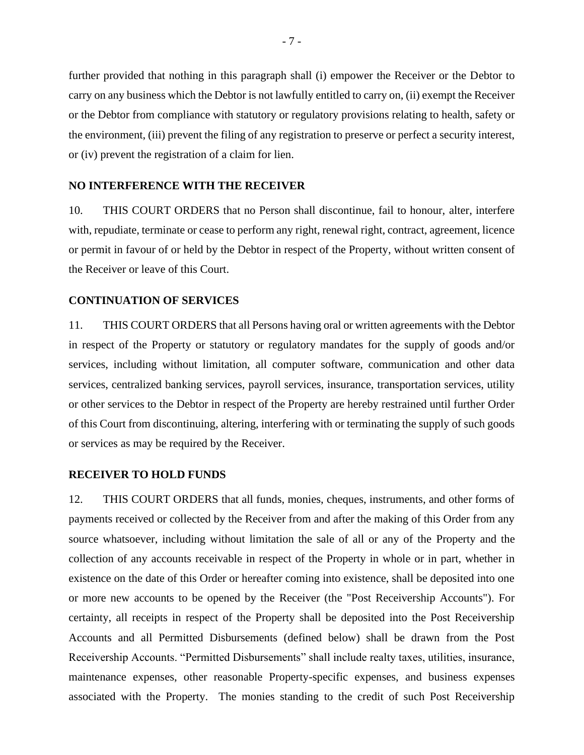further provided that nothing in this paragraph shall (i) empower the Receiver or the Debtor to carry on any business which the Debtor is not lawfully entitled to carry on, (ii) exempt the Receiver or the Debtor from compliance with statutory or regulatory provisions relating to health, safety or the environment, (iii) prevent the filing of any registration to preserve or perfect a security interest, or (iv) prevent the registration of a claim for lien.

### **NO INTERFERENCE WITH THE RECEIVER**

10. THIS COURT ORDERS that no Person shall discontinue, fail to honour, alter, interfere with, repudiate, terminate or cease to perform any right, renewal right, contract, agreement, licence or permit in favour of or held by the Debtor in respect of the Property, without written consent of the Receiver or leave of this Court.

### **CONTINUATION OF SERVICES**

11. THIS COURT ORDERS that all Persons having oral or written agreements with the Debtor in respect of the Property or statutory or regulatory mandates for the supply of goods and/or services, including without limitation, all computer software, communication and other data services, centralized banking services, payroll services, insurance, transportation services, utility or other services to the Debtor in respect of the Property are hereby restrained until further Order of this Court from discontinuing, altering, interfering with or terminating the supply of such goods or services as may be required by the Receiver.

#### **RECEIVER TO HOLD FUNDS**

12. THIS COURT ORDERS that all funds, monies, cheques, instruments, and other forms of payments received or collected by the Receiver from and after the making of this Order from any source whatsoever, including without limitation the sale of all or any of the Property and the collection of any accounts receivable in respect of the Property in whole or in part, whether in existence on the date of this Order or hereafter coming into existence, shall be deposited into one or more new accounts to be opened by the Receiver (the "Post Receivership Accounts"). For certainty, all receipts in respect of the Property shall be deposited into the Post Receivership Accounts and all Permitted Disbursements (defined below) shall be drawn from the Post Receivership Accounts. "Permitted Disbursements" shall include realty taxes, utilities, insurance, maintenance expenses, other reasonable Property-specific expenses, and business expenses associated with the Property. The monies standing to the credit of such Post Receivership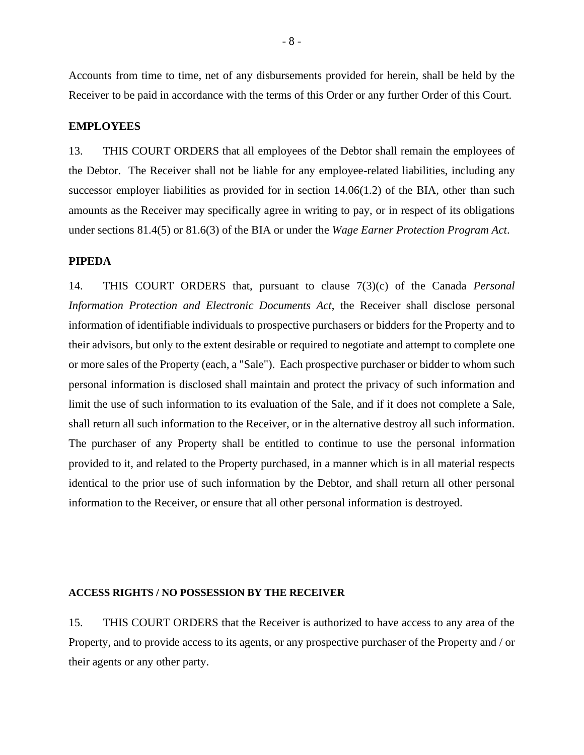Accounts from time to time, net of any disbursements provided for herein, shall be held by the Receiver to be paid in accordance with the terms of this Order or any further Order of this Court.

#### **EMPLOYEES**

13. THIS COURT ORDERS that all employees of the Debtor shall remain the employees of the Debtor. The Receiver shall not be liable for any employee-related liabilities, including any successor employer liabilities as provided for in section  $14.06(1.2)$  of the BIA, other than such amounts as the Receiver may specifically agree in writing to pay, or in respect of its obligations under sections 81.4(5) or 81.6(3) of the BIA or under the *Wage Earner Protection Program Act*.

#### **PIPEDA**

14. THIS COURT ORDERS that, pursuant to clause 7(3)(c) of the Canada *Personal Information Protection and Electronic Documents Act*, the Receiver shall disclose personal information of identifiable individuals to prospective purchasers or bidders for the Property and to their advisors, but only to the extent desirable or required to negotiate and attempt to complete one or more sales of the Property (each, a "Sale"). Each prospective purchaser or bidder to whom such personal information is disclosed shall maintain and protect the privacy of such information and limit the use of such information to its evaluation of the Sale, and if it does not complete a Sale, shall return all such information to the Receiver, or in the alternative destroy all such information. The purchaser of any Property shall be entitled to continue to use the personal information provided to it, and related to the Property purchased, in a manner which is in all material respects identical to the prior use of such information by the Debtor, and shall return all other personal information to the Receiver, or ensure that all other personal information is destroyed.

#### **ACCESS RIGHTS / NO POSSESSION BY THE RECEIVER**

15. THIS COURT ORDERS that the Receiver is authorized to have access to any area of the Property, and to provide access to its agents, or any prospective purchaser of the Property and / or their agents or any other party.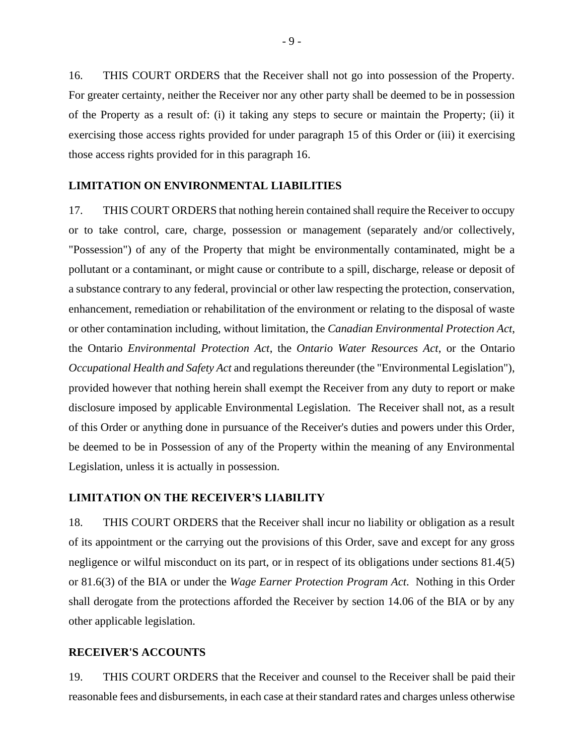16. THIS COURT ORDERS that the Receiver shall not go into possession of the Property. For greater certainty, neither the Receiver nor any other party shall be deemed to be in possession of the Property as a result of: (i) it taking any steps to secure or maintain the Property; (ii) it exercising those access rights provided for under paragraph 15 of this Order or (iii) it exercising those access rights provided for in this paragraph 16.

### **LIMITATION ON ENVIRONMENTAL LIABILITIES**

17. THIS COURT ORDERS that nothing herein contained shall require the Receiver to occupy or to take control, care, charge, possession or management (separately and/or collectively, "Possession") of any of the Property that might be environmentally contaminated, might be a pollutant or a contaminant, or might cause or contribute to a spill, discharge, release or deposit of a substance contrary to any federal, provincial or other law respecting the protection, conservation, enhancement, remediation or rehabilitation of the environment or relating to the disposal of waste or other contamination including, without limitation, the *Canadian Environmental Protection Act*, the Ontario *Environmental Protection Act*, the *Ontario Water Resources Act*, or the Ontario *Occupational Health and Safety Act* and regulations thereunder (the "Environmental Legislation"), provided however that nothing herein shall exempt the Receiver from any duty to report or make disclosure imposed by applicable Environmental Legislation. The Receiver shall not, as a result of this Order or anything done in pursuance of the Receiver's duties and powers under this Order, be deemed to be in Possession of any of the Property within the meaning of any Environmental Legislation, unless it is actually in possession.

### **LIMITATION ON THE RECEIVER'S LIABILITY**

18. THIS COURT ORDERS that the Receiver shall incur no liability or obligation as a result of its appointment or the carrying out the provisions of this Order, save and except for any gross negligence or wilful misconduct on its part, or in respect of its obligations under sections 81.4(5) or 81.6(3) of the BIA or under the *Wage Earner Protection Program Act*. Nothing in this Order shall derogate from the protections afforded the Receiver by section 14.06 of the BIA or by any other applicable legislation.

#### **RECEIVER'S ACCOUNTS**

19. THIS COURT ORDERS that the Receiver and counsel to the Receiver shall be paid their reasonable fees and disbursements, in each case at their standard rates and charges unless otherwise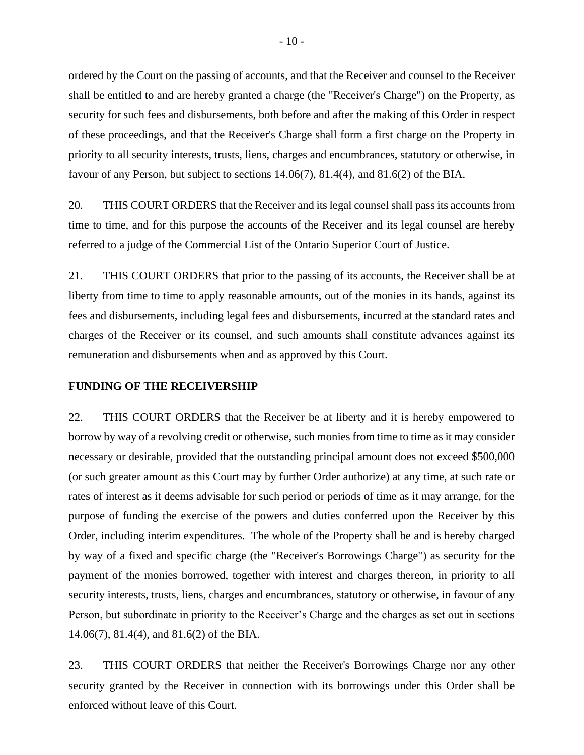ordered by the Court on the passing of accounts, and that the Receiver and counsel to the Receiver shall be entitled to and are hereby granted a charge (the "Receiver's Charge") on the Property, as security for such fees and disbursements, both before and after the making of this Order in respect of these proceedings, and that the Receiver's Charge shall form a first charge on the Property in priority to all security interests, trusts, liens, charges and encumbrances, statutory or otherwise, in favour of any Person, but subject to sections 14.06(7), 81.4(4), and 81.6(2) of the BIA.

20. THIS COURT ORDERS that the Receiver and its legal counsel shall pass its accounts from time to time, and for this purpose the accounts of the Receiver and its legal counsel are hereby referred to a judge of the Commercial List of the Ontario Superior Court of Justice.

21. THIS COURT ORDERS that prior to the passing of its accounts, the Receiver shall be at liberty from time to time to apply reasonable amounts, out of the monies in its hands, against its fees and disbursements, including legal fees and disbursements, incurred at the standard rates and charges of the Receiver or its counsel, and such amounts shall constitute advances against its remuneration and disbursements when and as approved by this Court.

#### **FUNDING OF THE RECEIVERSHIP**

22. THIS COURT ORDERS that the Receiver be at liberty and it is hereby empowered to borrow by way of a revolving credit or otherwise, such monies from time to time as it may consider necessary or desirable, provided that the outstanding principal amount does not exceed \$500,000 (or such greater amount as this Court may by further Order authorize) at any time, at such rate or rates of interest as it deems advisable for such period or periods of time as it may arrange, for the purpose of funding the exercise of the powers and duties conferred upon the Receiver by this Order, including interim expenditures. The whole of the Property shall be and is hereby charged by way of a fixed and specific charge (the "Receiver's Borrowings Charge") as security for the payment of the monies borrowed, together with interest and charges thereon, in priority to all security interests, trusts, liens, charges and encumbrances, statutory or otherwise, in favour of any Person, but subordinate in priority to the Receiver's Charge and the charges as set out in sections 14.06(7), 81.4(4), and 81.6(2) of the BIA.

23. THIS COURT ORDERS that neither the Receiver's Borrowings Charge nor any other security granted by the Receiver in connection with its borrowings under this Order shall be enforced without leave of this Court.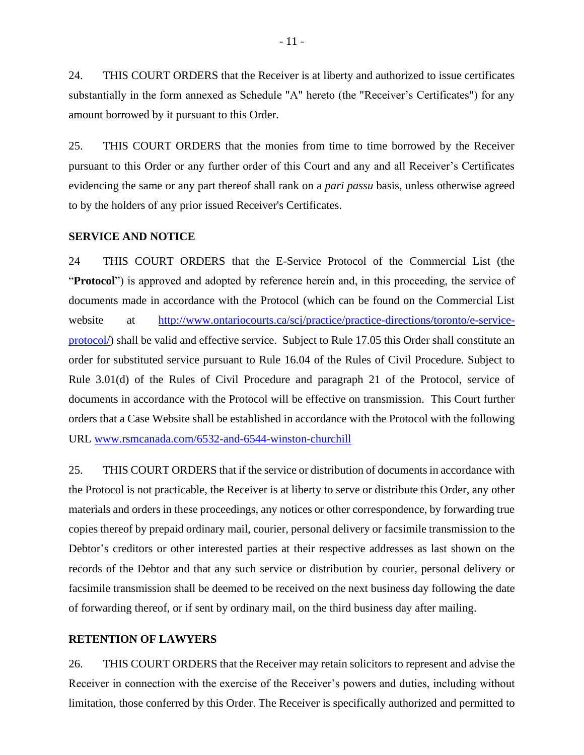24. THIS COURT ORDERS that the Receiver is at liberty and authorized to issue certificates substantially in the form annexed as Schedule "A" hereto (the "Receiver's Certificates") for any amount borrowed by it pursuant to this Order.

25. THIS COURT ORDERS that the monies from time to time borrowed by the Receiver pursuant to this Order or any further order of this Court and any and all Receiver's Certificates evidencing the same or any part thereof shall rank on a *pari passu* basis, unless otherwise agreed to by the holders of any prior issued Receiver's Certificates.

### **SERVICE AND NOTICE**

24 THIS COURT ORDERS that the E-Service Protocol of the Commercial List (the "**Protocol**") is approved and adopted by reference herein and, in this proceeding, the service of documents made in accordance with the Protocol (which can be found on the Commercial List website at http://www.ontariocourts.ca/scj/practice-practice-directions/toronto/e-serviceprotocol/) shall be valid and effective service. Subject to Rule 17.05 this Order shall constitute an order for substituted service pursuant to Rule 16.04 of the Rules of Civil Procedure. Subject to Rule 3.01(d) of the Rules of Civil Procedure and paragraph 21 of the Protocol, service of documents in accordance with the Protocol will be effective on transmission. This Court further orders that a Case Website shall be established in accordance with the Protocol with the following URL www.rsmcanada.com/6532-and-6544-winston-churchill

25. THIS COURT ORDERS that if the service or distribution of documents in accordance with the Protocol is not practicable, the Receiver is at liberty to serve or distribute this Order, any other materials and orders in these proceedings, any notices or other correspondence, by forwarding true copies thereof by prepaid ordinary mail, courier, personal delivery or facsimile transmission to the Debtor's creditors or other interested parties at their respective addresses as last shown on the records of the Debtor and that any such service or distribution by courier, personal delivery or facsimile transmission shall be deemed to be received on the next business day following the date of forwarding thereof, or if sent by ordinary mail, on the third business day after mailing.

### **RETENTION OF LAWYERS**

26. THIS COURT ORDERS that the Receiver may retain solicitors to represent and advise the Receiver in connection with the exercise of the Receiver's powers and duties, including without limitation, those conferred by this Order. The Receiver is specifically authorized and permitted to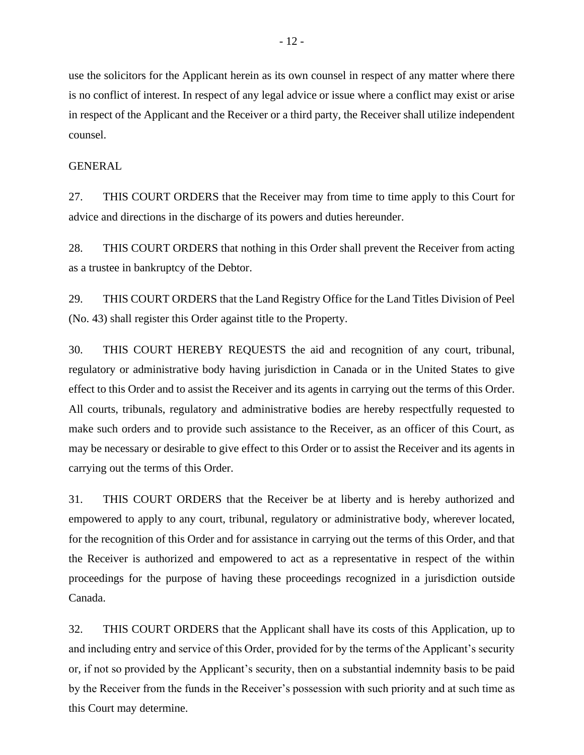use the solicitors for the Applicant herein as its own counsel in respect of any matter where there is no conflict of interest. In respect of any legal advice or issue where a conflict may exist or arise in respect of the Applicant and the Receiver or a third party, the Receiver shall utilize independent counsel.

### **GENERAL**

27. THIS COURT ORDERS that the Receiver may from time to time apply to this Court for advice and directions in the discharge of its powers and duties hereunder.

28. THIS COURT ORDERS that nothing in this Order shall prevent the Receiver from acting as a trustee in bankruptcy of the Debtor.

29. THIS COURT ORDERS that the Land Registry Office for the Land Titles Division of Peel (No. 43) shall register this Order against title to the Property.

30. THIS COURT HEREBY REQUESTS the aid and recognition of any court, tribunal, regulatory or administrative body having jurisdiction in Canada or in the United States to give effect to this Order and to assist the Receiver and its agents in carrying out the terms of this Order. All courts, tribunals, regulatory and administrative bodies are hereby respectfully requested to make such orders and to provide such assistance to the Receiver, as an officer of this Court, as may be necessary or desirable to give effect to this Order or to assist the Receiver and its agents in carrying out the terms of this Order.

31. THIS COURT ORDERS that the Receiver be at liberty and is hereby authorized and empowered to apply to any court, tribunal, regulatory or administrative body, wherever located, for the recognition of this Order and for assistance in carrying out the terms of this Order, and that the Receiver is authorized and empowered to act as a representative in respect of the within proceedings for the purpose of having these proceedings recognized in a jurisdiction outside Canada.

32. THIS COURT ORDERS that the Applicant shall have its costs of this Application, up to and including entry and service of this Order, provided for by the terms of the Applicant's security or, if not so provided by the Applicant's security, then on a substantial indemnity basis to be paid by the Receiver from the funds in the Receiver's possession with such priority and at such time as this Court may determine.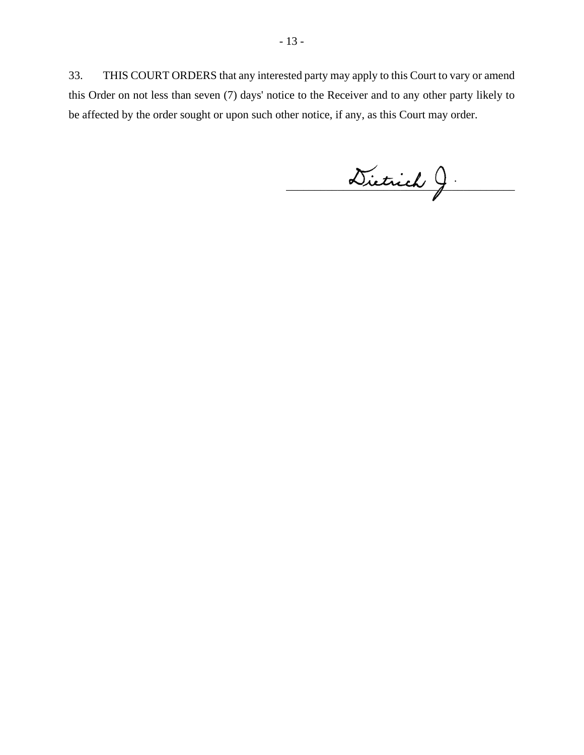33. THIS COURT ORDERS that any interested party may apply to this Court to vary or amend this Order on not less than seven (7) days' notice to the Receiver and to any other party likely to be affected by the order sought or upon such other notice, if any, as this Court may order.

 $\omega$ ietrich J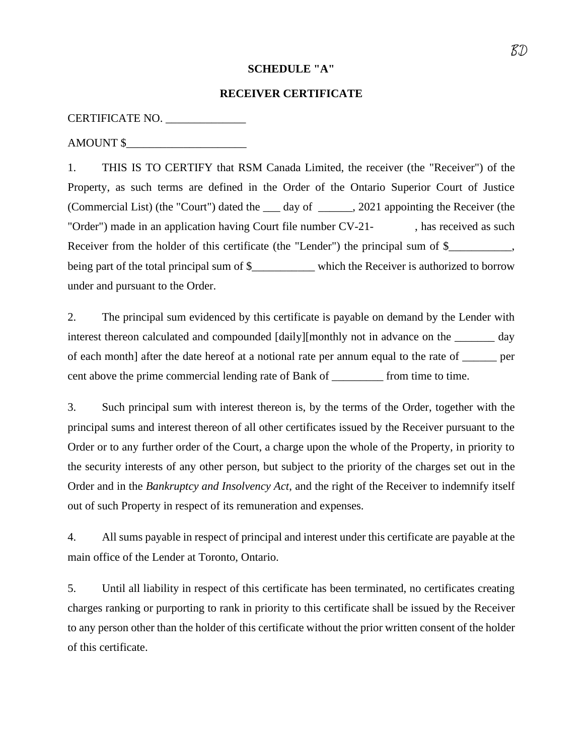### **SCHEDULE "A"**

#### **RECEIVER CERTIFICATE**

CERTIFICATE NO. \_\_\_\_\_\_\_\_\_\_\_\_\_\_

AMOUNT \$

1. THIS IS TO CERTIFY that RSM Canada Limited, the receiver (the "Receiver") of the Property, as such terms are defined in the Order of the Ontario Superior Court of Justice (Commercial List) (the "Court") dated the \_\_\_ day of \_\_\_\_\_\_, 2021 appointing the Receiver (the "Order") made in an application having Court file number CV-21-, has received as such Receiver from the holder of this certificate (the "Lender") the principal sum of \$\_\_\_\_\_\_\_\_\_, being part of the total principal sum of \$\_\_\_\_\_\_\_\_\_ which the Receiver is authorized to borrow under and pursuant to the Order.

2. The principal sum evidenced by this certificate is payable on demand by the Lender with interest thereon calculated and compounded [daily][monthly not in advance on the \_\_\_\_\_\_\_ day of each month] after the date hereof at a notional rate per annum equal to the rate of \_\_\_\_\_\_ per cent above the prime commercial lending rate of Bank of \_\_\_\_\_\_\_\_\_ from time to time.

3. Such principal sum with interest thereon is, by the terms of the Order, together with the principal sums and interest thereon of all other certificates issued by the Receiver pursuant to the Order or to any further order of the Court, a charge upon the whole of the Property, in priority to the security interests of any other person, but subject to the priority of the charges set out in the Order and in the *Bankruptcy and Insolvency Act*, and the right of the Receiver to indemnify itself out of such Property in respect of its remuneration and expenses.

4. All sums payable in respect of principal and interest under this certificate are payable at the main office of the Lender at Toronto, Ontario.

5. Until all liability in respect of this certificate has been terminated, no certificates creating charges ranking or purporting to rank in priority to this certificate shall be issued by the Receiver to any person other than the holder of this certificate without the prior written consent of the holder of this certificate.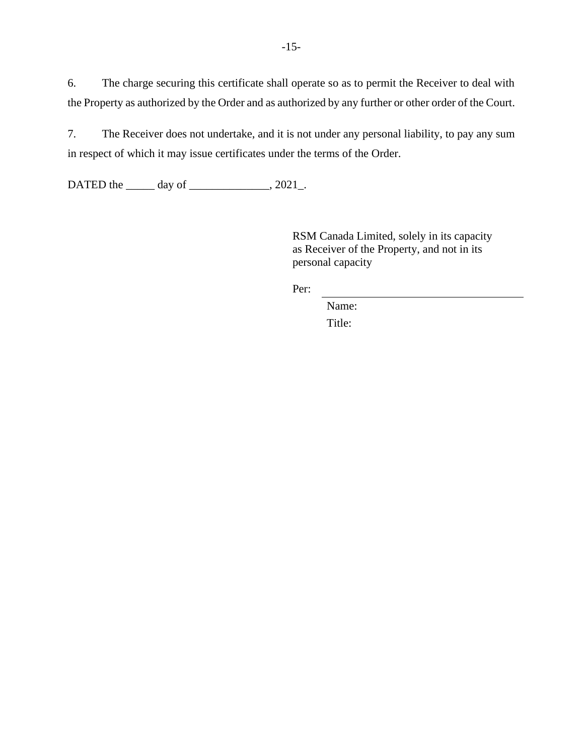6. The charge securing this certificate shall operate so as to permit the Receiver to deal with the Property as authorized by the Order and as authorized by any further or other order of the Court.

7. The Receiver does not undertake, and it is not under any personal liability, to pay any sum in respect of which it may issue certificates under the terms of the Order.

DATED the \_\_\_\_\_\_ day of \_\_\_\_\_\_\_\_\_\_\_\_\_\_, 2021\_.

RSM Canada Limited, solely in its capacity as Receiver of the Property, and not in its personal capacity

Per:

Name: Title: